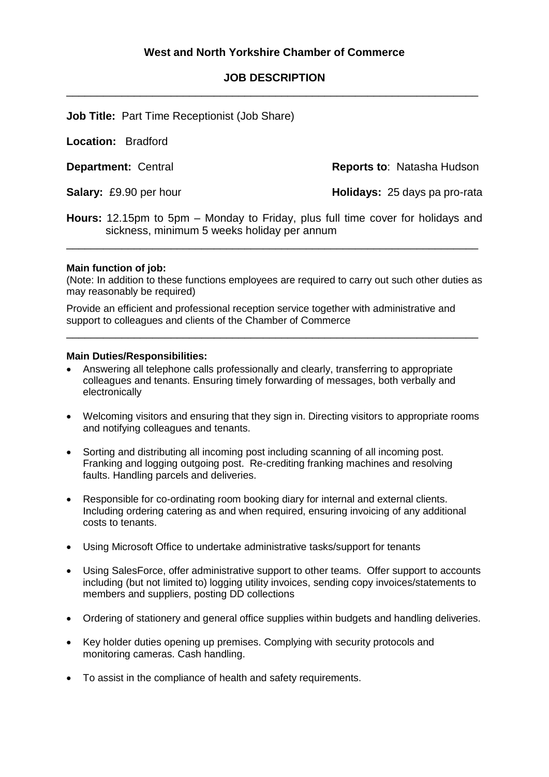## **JOB DESCRIPTION** \_\_\_\_\_\_\_\_\_\_\_\_\_\_\_\_\_\_\_\_\_\_\_\_\_\_\_\_\_\_\_\_\_\_\_\_\_\_\_\_\_\_\_\_\_\_\_\_\_\_\_\_\_\_\_\_\_\_\_\_\_\_\_\_\_\_\_

**Job Title:** Part Time Receptionist (Job Share)

**Location:** Bradford

**Department:** Central **Reports to: Natasha Hudson** 

**Salary:** £9.90 per hour **Holidays:** 25 days pa pro-rata

**Hours:** 12.15pm to 5pm – Monday to Friday, plus full time cover for holidays and sickness, minimum 5 weeks holiday per annum

\_\_\_\_\_\_\_\_\_\_\_\_\_\_\_\_\_\_\_\_\_\_\_\_\_\_\_\_\_\_\_\_\_\_\_\_\_\_\_\_\_\_\_\_\_\_\_\_\_\_\_\_\_\_\_\_\_\_\_\_\_\_\_\_\_\_\_

## **Main function of job:**

(Note: In addition to these functions employees are required to carry out such other duties as may reasonably be required)

\_\_\_\_\_\_\_\_\_\_\_\_\_\_\_\_\_\_\_\_\_\_\_\_\_\_\_\_\_\_\_\_\_\_\_\_\_\_\_\_\_\_\_\_\_\_\_\_\_\_\_\_\_\_\_\_\_\_\_\_\_\_\_\_\_\_\_

Provide an efficient and professional reception service together with administrative and support to colleagues and clients of the Chamber of Commerce

## **Main Duties/Responsibilities:**

- Answering all telephone calls professionally and clearly, transferring to appropriate colleagues and tenants. Ensuring timely forwarding of messages, both verbally and electronically
- Welcoming visitors and ensuring that they sign in. Directing visitors to appropriate rooms and notifying colleagues and tenants.
- Sorting and distributing all incoming post including scanning of all incoming post. Franking and logging outgoing post. Re-crediting franking machines and resolving faults. Handling parcels and deliveries.
- Responsible for co-ordinating room booking diary for internal and external clients. Including ordering catering as and when required, ensuring invoicing of any additional costs to tenants.
- Using Microsoft Office to undertake administrative tasks/support for tenants
- Using SalesForce, offer administrative support to other teams. Offer support to accounts including (but not limited to) logging utility invoices, sending copy invoices/statements to members and suppliers, posting DD collections
- Ordering of stationery and general office supplies within budgets and handling deliveries.
- Key holder duties opening up premises. Complying with security protocols and monitoring cameras. Cash handling.
- To assist in the compliance of health and safety requirements.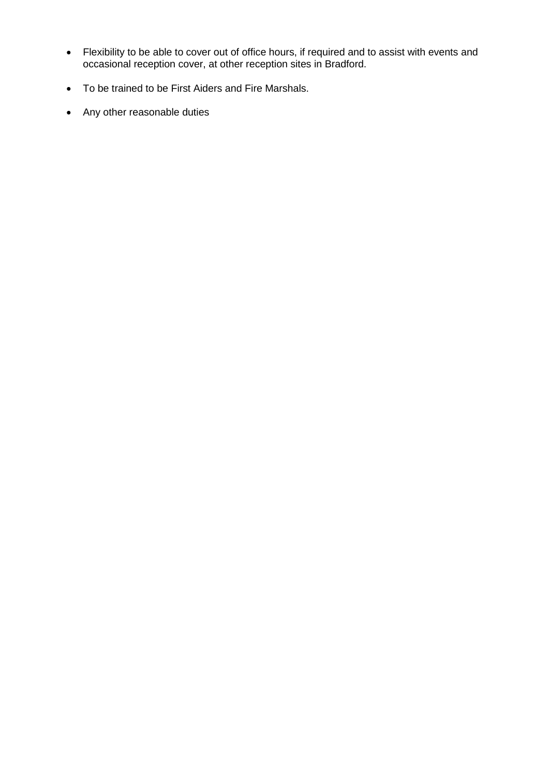- Flexibility to be able to cover out of office hours, if required and to assist with events and occasional reception cover, at other reception sites in Bradford.
- To be trained to be First Aiders and Fire Marshals.
- Any other reasonable duties